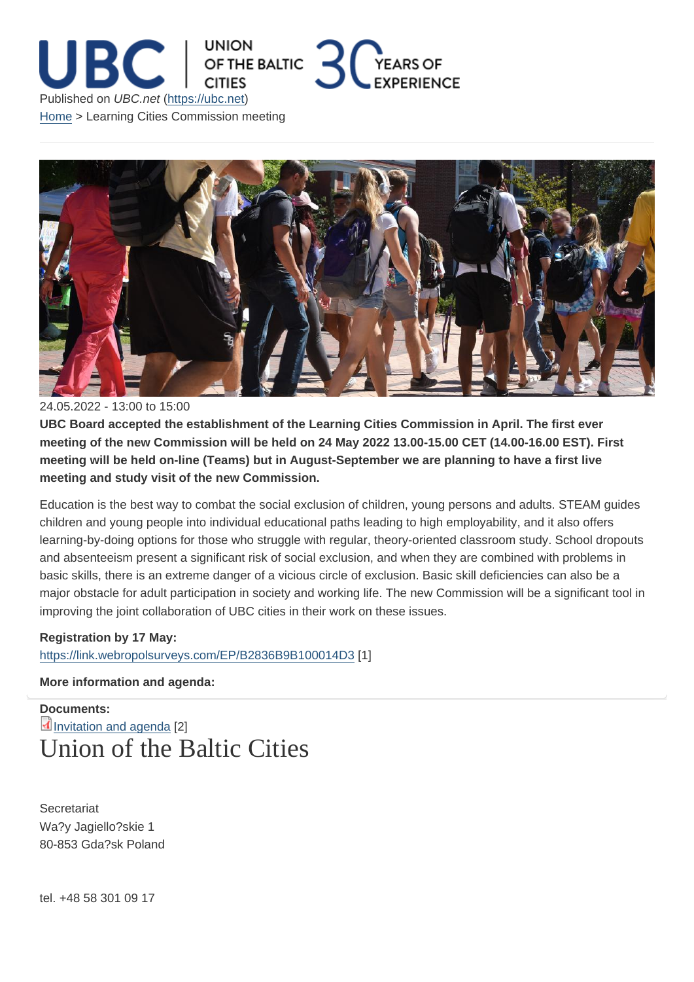## 24.05.2022 - 13:00 to 15:00

UBC Board accepted the establishment of the Learning Cities Commission in April. The first ever meeting of the new Commission will be held on 24 May 2022 13.00-15.00 CET (14.00-16.00 EST). First meeting will be held on-line (Teams) but in August-September we are planning to have a first live meeting and study visit of the new Commission.

Education is the best way to combat the social exclusion of children, young persons and adults. STEAM guides children and young people into individual educational paths leading to high employability, and it also offers learning-by-doing options for those who struggle with regular, theory-oriented classroom study. School dropouts and absenteeism present a significant risk of social exclusion, and when they are combined with problems in basic skills, there is an extreme danger of a vicious circle of exclusion. Basic skill deficiencies can also be a major obstacle for adult participation in society and working life. The new Commission will be a significant tool in improving the joint collaboration of UBC cities in their work on these issues.

Registration by 17 May: https://link.webropolsurveys.com/EP/B2836B9B100014D3 [1]

More information and agenda:

[Documents:](https://link.webropolsurveys.com/EP/B2836B9B100014D3)  Invitation and agenda [2] Union of the Baltic Cities

**Secretariat** Wa?y Jagiello?skie 1 80-853 Gda?sk Poland

tel. +48 58 301 09 17